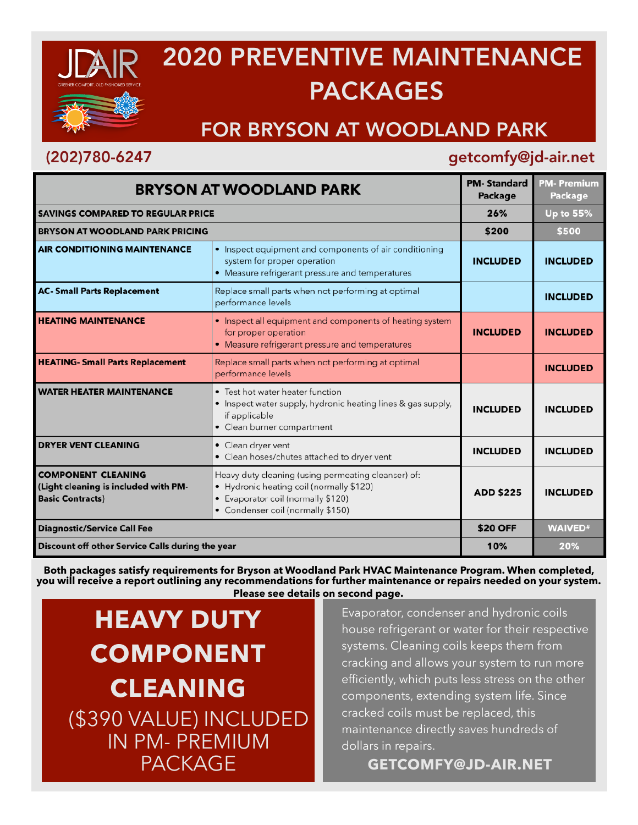

# 2020 PREVENTIVE MAINTENANCE PACKAGES

## FOR BRYSON AT WOODLAND PARK

### (202)780-6247 getcomfy@jd-air.net

| <b>BRYSON AT WOODLAND PARK</b>                                                               |                                                                                                                                                                            | <b>PM-Standard</b><br>Package | <b>PM-Premium</b><br>Package |
|----------------------------------------------------------------------------------------------|----------------------------------------------------------------------------------------------------------------------------------------------------------------------------|-------------------------------|------------------------------|
| <b>SAVINGS COMPARED TO REGULAR PRICE</b>                                                     |                                                                                                                                                                            | 26%                           | Up to 55%                    |
| <b>BRYSON AT WOODLAND PARK PRICING</b>                                                       |                                                                                                                                                                            | \$200                         | \$500                        |
| <b>AIR CONDITIONING MAINTENANCE</b>                                                          | • Inspect equipment and components of air conditioning<br>system for proper operation<br>• Measure refrigerant pressure and temperatures                                   | <b>INCLUDED</b>               | <b>INCLUDED</b>              |
| <b>AC- Small Parts Replacement</b>                                                           | Replace small parts when not performing at optimal<br>performance levels                                                                                                   |                               | <b>INCLUDED</b>              |
| <b>HEATING MAINTENANCE</b>                                                                   | • Inspect all equipment and components of heating system<br>for proper operation<br>• Measure refrigerant pressure and temperatures                                        | <b>INCLUDED</b>               | <b>INCLUDED</b>              |
| <b>HEATING- Small Parts Replacement</b>                                                      | Replace small parts when not performing at optimal<br>performance levels                                                                                                   |                               | <b>INCLUDED</b>              |
| <b>WATER HEATER MAINTENANCE</b>                                                              | • Test hot water heater function<br>• Inspect water supply, hydronic heating lines & gas supply,<br>if applicable<br>• Clean burner compartment                            | <b>INCLUDED</b>               | <b>INCLUDED</b>              |
| <b>DRYER VENT CLEANING</b>                                                                   | • Clean dryer vent<br>• Clean hoses/chutes attached to dryer vent                                                                                                          | <b>INCLUDED</b>               | <b>INCLUDED</b>              |
| <b>COMPONENT CLEANING</b><br>(Light cleaning is included with PM-<br><b>Basic Contracts)</b> | Heavy duty cleaning (using permeating cleanser) of:<br>• Hydronic heating coil (normally \$120)<br>• Evaporator coil (normally \$120)<br>• Condenser coil (normally \$150) | <b>ADD \$225</b>              | <b>INCLUDED</b>              |
| <b>Diagnostic/Service Call Fee</b>                                                           |                                                                                                                                                                            | <b>\$20 OFF</b>               | <b>WAIVED#</b>               |
| Discount off other Service Calls during the year                                             |                                                                                                                                                                            | 10%                           | 20%                          |

**Both packages satisfy requirements for Bryson at Woodland Park HVAC Maintenance Program. When completed, you will receive a report outlining any recommendations for further maintenance or repairs needed on your system. Please see details on second page.**

**HEAVY DUTY COMPONENT CLEANING**  (\$390 VALUE) INCLUDED IN PM- PREMIUM PACKAGE

Evaporator, condenser and hydronic coils house refrigerant or water for their respective systems. Cleaning coils keeps them from cracking and allows your system to run more efficiently, which puts less stress on the other components, extending system life. Since cracked coils must be replaced, this maintenance directly saves hundreds of dollars in repairs.

**GETCOMFY@JD-AIR.NET**